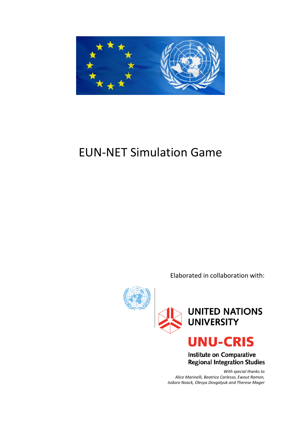

# EUN-NET Simulation Game

Elaborated in collaboration with:



Institute on Comparative **Regional Integration Studies** 

*With special thanks to Alice Marinelli, Beatrice Carlesso, Ewout Ramon, Isidoro Noack, Olesya Dovgalyuk and Therese Mager*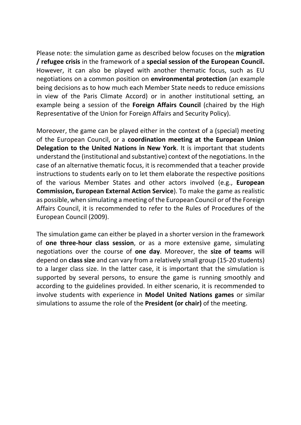Please note: the simulation game as described below focuses on the **migration / refugee crisis** in the framework of a **special session of the European Council.**  However, it can also be played with another thematic focus, such as EU negotiations on a common position on **environmental protection** (an example being decisions as to how much each Member State needs to reduce emissions in view of the Paris Climate Accord) or in another institutional setting, an example being a session of the **Foreign Affairs Council** (chaired by the High Representative of the Union for Foreign Affairs and Security Policy).

Moreover, the game can be played either in the context of a (special) meeting of the European Council, or a **coordination meeting at the European Union Delegation to the United Nations in New York**. It is important that students understand the (institutional and substantive) context of the negotiations. In the case of an alternative thematic focus, it is recommended that a teacher provide instructions to students early on to let them elaborate the respective positions of the various Member States and other actors involved (e.g., **European Commission, European External Action Service**). To make the game as realistic as possible, when simulating a meeting of the European Council or of the Foreign Affairs Council, it is recommended to refer to the Rules of Procedures of the European Council (2009).

The simulation game can either be played in a shorter version in the framework of **one three-hour class session**, or as a more extensive game, simulating negotiations over the course of **one day**. Moreover, the **size of teams** will depend on **class size** and can vary from a relatively small group (15-20 students) to a larger class size. In the latter case, it is important that the simulation is supported by several persons, to ensure the game is running smoothly and according to the guidelines provided. In either scenario, it is recommended to involve students with experience in **Model United Nations games** or similar simulations to assume the role of the **President (or chair)** of the meeting.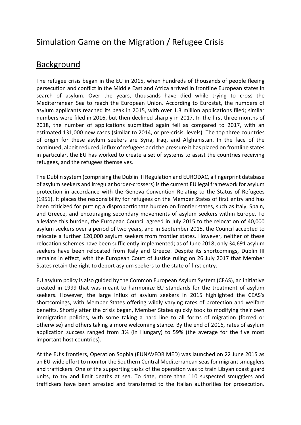# Simulation Game on the Migration / Refugee Crisis

### **Background**

The refugee crisis began in the EU in 2015, when hundreds of thousands of people fleeing persecution and conflict in the Middle East and Africa arrived in frontline European states in search of asylum. Over the years, thousands have died while trying to cross the Mediterranean Sea to reach the European Union. According to Eurostat, the numbers of asylum applicants reached its peak in 2015, with over 1.3 million applications filed; similar numbers were filed in 2016, but then declined sharply in 2017. In the first three months of 2018, the number of applications submitted again fell as compared to 2017, with an estimated 131,000 new cases (similar to 2014, or pre-crisis, levels). The top three countries of origin for these asylum seekers are Syria, Iraq, and Afghanistan. In the face of the continued, albeit reduced, influx of refugees and the pressure it has placed on frontline states in particular, the EU has worked to create a set of systems to assist the countries receiving refugees, and the refugees themselves.

The Dublin system (comprising the Dublin III Regulation and EURODAC, a fingerprint database of asylum seekers and irregular border-crossers) is the current EU legal framework for asylum protection in accordance with the Geneva Convention Relating to the Status of Refugees (1951). It places the responsibility for refugees on the Member States of first entry and has been criticized for putting a disproportionate burden on frontier states, such as Italy, Spain, and Greece, and encouraging secondary movements of asylum seekers within Europe. To alleviate this burden, the European Council agreed in July 2015 to the relocation of 40,000 asylum seekers over a period of two years, and in September 2015, the Council accepted to relocate a further 120,000 asylum seekers from frontier states. However, neither of these relocation schemes have been sufficiently implemented; as of June 2018, only 34,691 asylum seekers have been relocated from Italy and Greece. Despite its shortcomings, Dublin III remains in effect, with the European Court of Justice ruling on 26 July 2017 that Member States retain the right to deport asylum seekers to the state of first entry.

EU asylum policy is also guided by the Common European Asylum System (CEAS), an initiative created in 1999 that was meant to harmonize EU standards for the treatment of asylum seekers. However, the large influx of asylum seekers in 2015 highlighted the CEAS's shortcomings, with Member States offering wildly varying rates of protection and welfare benefits. Shortly after the crisis began, Member States quickly took to modifying their own immigration policies, with some taking a hard line to all forms of migration (forced or otherwise) and others taking a more welcoming stance. By the end of 2016, rates of asylum application success ranged from 3% (in Hungary) to 59% (the average for the five most important host countries).

At the EU's frontiers, Operation Sophia (EUNAVFOR MED) was launched on 22 June 2015 as an EU-wide effort to monitor the Southern Central Mediterranean seas for migrant smugglers and traffickers. One of the supporting tasks of the operation was to train Libyan coast guard units, to try and limit deaths at sea. To date, more than 110 suspected smugglers and traffickers have been arrested and transferred to the Italian authorities for prosecution.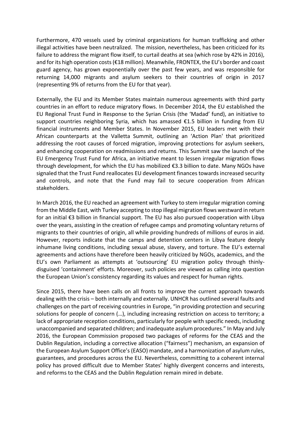Furthermore, 470 vessels used by criminal organizations for human trafficking and other illegal activities have been neutralized. The mission, nevertheless, has been criticized for its failure to address the migrant flow itself, to curtail deaths at sea (which rose by 42% in 2016), and for its high operation costs (€18 million). Meanwhile, FRONTEX, the EU's border and coast guard agency, has grown exponentially over the past few years, and was responsible for returning 14,000 migrants and asylum seekers to their countries of origin in 2017 (representing 9% of returns from the EU for that year).

Externally, the EU and its Member States maintain numerous agreements with third party countries in an effort to reduce migratory flows. In December 2014, the EU established the EU Regional Trust Fund in Response to the Syrian Crisis (the 'Madad' fund), an initiative to support countries neighboring Syria, which has amassed €1.5 billion in funding from EU financial instruments and Member States. In November 2015, EU leaders met with their African counterparts at the Valletta Summit, outlining an 'Action Plan' that prioritized addressing the root causes of forced migration, improving protections for asylum seekers, and enhancing cooperation on readmissions and returns. This Summit saw the launch of the EU Emergency Trust Fund for Africa, an initiative meant to lessen irregular migration flows through development, for which the EU has mobilized €3.3 billion to date. Many NGOs have signaled that the Trust Fund reallocates EU development finances towards increased security and controls, and note that the Fund may fail to secure cooperation from African stakeholders.

In March 2016, the EU reached an agreement with Turkey to stem irregular migration coming from the Middle East, with Turkey accepting to stop illegal migration flows westward in return for an initial €3 billion in financial support. The EU has also pursued cooperation with Libya over the years, assisting in the creation of refugee camps and promoting voluntary returns of migrants to their countries of origin, all while providing hundreds of millions of euros in aid. However, reports indicate that the camps and detention centers in Libya feature deeply inhumane living conditions, including sexual abuse, slavery, and torture. The EU's external agreements and actions have therefore been heavily criticized by NGOs, academics, and the EU's own Parliament as attempts at 'outsourcing' EU migration policy through thinlydisguised 'containment' efforts. Moreover, such policies are viewed as calling into question the European Union's consistency regarding its values and respect for human rights.

Since 2015, there have been calls on all fronts to improve the current approach towards dealing with the crisis – both internally and externally. UNHCR has outlined several faults and challenges on the part of receiving countries in Europe, "in providing protection and securing solutions for people of concern (…), including increasing restriction on access to territory; a lack of appropriate reception conditions, particularly for people with specific needs, including unaccompanied and separated children; and inadequate asylum procedures." In May and July 2016, the European Commission proposed two packages of reforms for the CEAS and the Dublin Regulation, including a corrective allocation ("fairness") mechanism, an expansion of the European Asylum Support Office's (EASO) mandate, and a harmonization of asylum rules, guarantees, and procedures across the EU. Nevertheless, committing to a coherent internal policy has proved difficult due to Member States' highly divergent concerns and interests, and reforms to the CEAS and the Dublin Regulation remain mired in debate.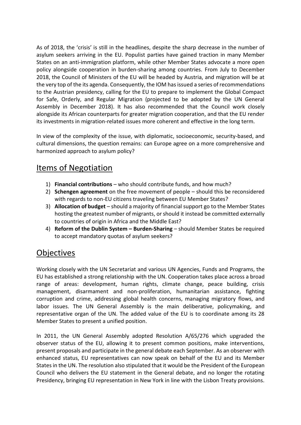As of 2018, the 'crisis' is still in the headlines, despite the sharp decrease in the number of asylum seekers arriving in the EU. Populist parties have gained traction in many Member States on an anti-immigration platform, while other Member States advocate a more open policy alongside cooperation in burden-sharing among countries. From July to December 2018, the Council of Ministers of the EU will be headed by Austria, and migration will be at the very top of the its agenda. Consequently, the IOM has issued a series of recommendations to the Austrian presidency, calling for the EU to prepare to implement the Global Compact for Safe, Orderly, and Regular Migration (projected to be adopted by the UN General Assembly in December 2018). It has also recommended that the Council work closely alongside its African counterparts for greater migration cooperation, and that the EU render its investments in migration-related issues more coherent and effective in the long term.

In view of the complexity of the issue, with diplomatic, socioeconomic, security-based, and cultural dimensions, the question remains: can Europe agree on a more comprehensive and harmonized approach to asylum policy?

### Items of Negotiation

- 1) **Financial contributions** who should contribute funds, and how much?
- 2) **Schengen agreement** on the free movement of people should this be reconsidered with regards to non-EU citizens traveling between EU Member States?
- 3) **Allocation of budget** should a majority of financial support go to the Member States hosting the greatest number of migrants, or should it instead be committed externally to countries of origin in Africa and the Middle East?
- 4) **Reform of the Dublin System – Burden-Sharing**  should Member States be required to accept mandatory quotas of asylum seekers?

### **Objectives**

Working closely with the UN Secretariat and various UN Agencies, Funds and Programs, the EU has established a strong relationship with the UN. Cooperation takes place across a broad range of areas: development, human rights, climate change, peace building, crisis management, disarmament and non-proliferation, humanitarian assistance, fighting corruption and crime, addressing global health concerns, managing migratory flows, and labor issues. The UN General Assembly is the main deliberative, policymaking, and representative organ of the UN. The added value of the EU is to coordinate among its 28 Member States to present a unified position.

In 2011, the UN General Assembly adopted Resolution A/65/276 which upgraded the observer status of the EU, allowing it to present common positions, make interventions, present proposals and participate in the general debate each September. As an observer with enhanced status, EU representatives can now speak on behalf of the EU and its Member States in the UN. The resolution also stipulated that it would be the President of the European Council who delivers the EU statement in the General debate, and no longer the rotating Presidency, bringing EU representation in New York in line with the Lisbon Treaty provisions.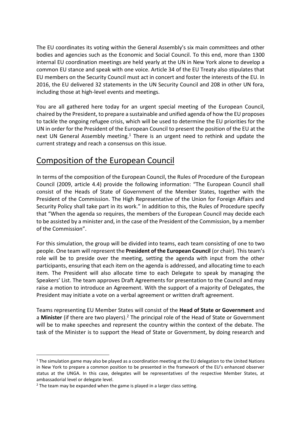The EU coordinates its voting within the General Assembly's six main committees and other bodies and agencies such as the Economic and Social Council. To this end, more than 1300 internal EU coordination meetings are held yearly at the UN in New York alone to develop a common EU stance and speak with one voice. Article 34 of the EU Treaty also stipulates that EU members on the Security Council must act in concert and foster the interests of the EU. In 2016, the EU delivered 32 statements in the UN Security Council and 208 in other UN fora, including those at high-level events and meetings.

You are all gathered here today for an urgent special meeting of the European Council, chaired by the President, to prepare a sustainable and unified agenda of how the EU proposes to tackle the ongoing refugee crisis, which will be used to determine the EU priorities for the UN in order for the President of the European Council to present the position of the EU at the next UN General Assembly meeting.<sup>1</sup> There is an urgent need to rethink and update the current strategy and reach a consensus on this issue.

### Composition of the European Council

In terms of the composition of the European Council, the Rules of Procedure of the European Council (2009, article 4.4) provide the following information: "The European Council shall consist of the Heads of State of Government of the Member States, together with the President of the Commission. The High Representative of the Union for Foreign Affairs and Security Policy shall take part in its work." In addition to this, the Rules of Procedure specify that "When the agenda so requires, the members of the European Council may decide each to be assisted by a minister and, in the case of the President of the Commission, by a member of the Commission".

For this simulation, the group will be divided into teams, each team consisting of one to two people. One team will represent the **President of the European Council** (or chair). This team's role will be to preside over the meeting, setting the agenda with input from the other participants, ensuring that each item on the agenda is addressed, and allocating time to each item. The President will also allocate time to each Delegate to speak by managing the Speakers' List. The team approves Draft Agreements for presentation to the Council and may raise a motion to introduce an Agreement. With the support of a majority of Delegates, the President may initiate a vote on a verbal agreement or written draft agreement.

Teams representing EU Member States will consist of the **Head of State or Government** and a **Minister** (if there are two players).<sup>2</sup> The principal role of the Head of State or Government will be to make speeches and represent the country within the context of the debate. The task of the Minister is to support the Head of State or Government, by doing research and

l

 $1$  The simulation game may also be played as a coordination meeting at the EU delegation to the United Nations in New York to prepare a common position to be presented in the framework of the EU's enhanced observer status at the UNGA. In this case, delegates will be representatives of the respective Member States, at ambassadorial level or delegate level.

 $2$  The team may be expanded when the game is played in a larger class setting.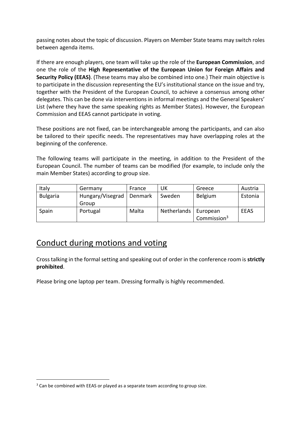passing notes about the topic of discussion. Players on Member State teams may switch roles between agenda items.

If there are enough players, one team will take up the role of the **European Commission**, and one the role of the **High Representative of the European Union for Foreign Affairs and Security Policy (EEAS)**. (These teams may also be combined into one.) Their main objective is to participate in the discussion representing the EU's institutional stance on the issue and try, together with the President of the European Council, to achieve a consensus among other delegates. This can be done via interventions in informal meetings and the General Speakers' List (where they have the same speaking rights as Member States). However, the European Commission and EEAS cannot participate in voting.

These positions are not fixed, can be interchangeable among the participants, and can also be tailored to their specific needs. The representatives may have overlapping roles at the beginning of the conference.

The following teams will participate in the meeting, in addition to the President of the European Council. The number of teams can be modified (for example, to include only the main Member States) according to group size.

| Italy           | Germany          | France  | UK          | Greece                  | Austria     |
|-----------------|------------------|---------|-------------|-------------------------|-------------|
| <b>Bulgaria</b> | Hungary/Visegrad | Denmark | Sweden      | <b>Belgium</b>          | Estonia     |
|                 | Group            |         |             |                         |             |
| Spain           | Portugal         | Malta   | Netherlands | European                | <b>EEAS</b> |
|                 |                  |         |             | Commission <sup>3</sup> |             |

### Conduct during motions and voting

Cross talking in the formal setting and speaking out of order in the conference room is **strictly prohibited**.

Please bring one laptop per team. Dressing formally is highly recommended.

 $\overline{a}$ 

<sup>&</sup>lt;sup>3</sup> Can be combined with EEAS or played as a separate team according to group size.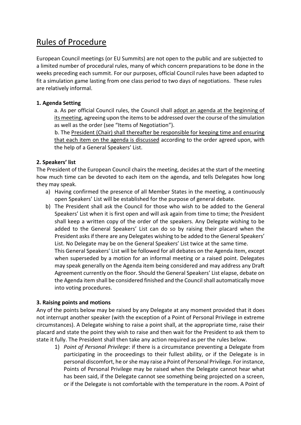### Rules of Procedure

European Council meetings (or EU Summits) are not open to the public and are subjected to a limited number of procedural rules, many of which concern preparations to be done in the weeks preceding each summit. For our purposes, official Council rules have been adapted to fit a simulation game lasting from one class period to two days of negotiations. These rules are relatively informal.

#### **1. Agenda Setting**

a. As per official Council rules, the Council shall adopt an agenda at the beginning of its meeting, agreeing upon the items to be addressed over the course of the simulation as well as the order (see "Items of Negotiation").

b. The President (Chair) shall thereafter be responsible for keeping time and ensuring that each item on the agenda is discussed according to the order agreed upon, with the help of a General Speakers' List.

#### **2. Speakers' list**

The President of the European Council chairs the meeting, decides at the start of the meeting how much time can be devoted to each item on the agenda, and tells Delegates how long they may speak.

- a) Having confirmed the presence of all Member States in the meeting, a continuously open Speakers' List will be established for the purpose of general debate.
- b) The President shall ask the Council for those who wish to be added to the General Speakers' List when it is first open and will ask again from time to time; the President shall keep a written copy of the order of the speakers. Any Delegate wishing to be added to the General Speakers' List can do so by raising their placard when the President asks if there are any Delegates wishing to be added to the General Speakers' List. No Delegate may be on the General Speakers' List twice at the same time.

This General Speakers' List will be followed for all debates on the Agenda item, except when superseded by a motion for an informal meeting or a raised point. Delegates may speak generally on the Agenda item being considered and may address any Draft Agreement currently on the floor. Should the General Speakers' List elapse, debate on the Agenda item shall be considered finished and the Council shall automatically move into voting procedures.

#### **3. Raising points and motions**

Any of the points below may be raised by any Delegate at any moment provided that it does not interrupt another speaker (with the exception of a Point of Personal Privilege in extreme circumstances). A Delegate wishing to raise a point shall, at the appropriate time, raise their placard and state the point they wish to raise and then wait for the President to ask them to state it fully. The President shall then take any action required as per the rules below.

1) *Point of Personal Privilege*: if there is a circumstance preventing a Delegate from participating in the proceedings to their fullest ability, or if the Delegate is in personal discomfort, he or she may raise a Point of Personal Privilege. For instance, Points of Personal Privilege may be raised when the Delegate cannot hear what has been said, if the Delegate cannot see something being projected on a screen, or if the Delegate is not comfortable with the temperature in the room. A Point of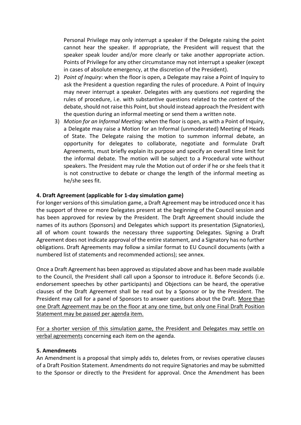Personal Privilege may only interrupt a speaker if the Delegate raising the point cannot hear the speaker. If appropriate, the President will request that the speaker speak louder and/or more clearly or take another appropriate action. Points of Privilege for any other circumstance may not interrupt a speaker (except in cases of absolute emergency, at the discretion of the President).

- 2) *Point of Inquiry*: when the floor is open, a Delegate may raise a Point of Inquiry to ask the President a question regarding the rules of procedure. A Point of Inquiry may never interrupt a speaker. Delegates with any questions *not* regarding the rules of procedure, i.e. with substantive questions related to the *content* of the debate, should not raise this Point, but should instead approach the President with the question during an informal meeting or send them a written note.
- 3) *Motion for an Informal Meeting*: when the floor is open, as with a Point of Inquiry, a Delegate may raise a Motion for an Informal (unmoderated) Meeting of Heads of State. The Delegate raising the motion to summon informal debate, an opportunity for delegates to collaborate, negotiate and formulate Draft Agreements, must briefly explain its purpose and specify an overall time limit for the informal debate. The motion will be subject to a Procedural vote without speakers. The President may rule the Motion out of order if he or she feels that it is not constructive to debate or change the length of the informal meeting as he/she sees fit.

#### **4. Draft Agreement (applicable for 1-day simulation game)**

For longer versions of this simulation game, a Draft Agreement may be introduced once it has the support of three or more Delegates present at the beginning of the Council session and has been approved for review by the President. The Draft Agreement should include the names of its authors (Sponsors) and Delegates which support its presentation (Signatories), all of whom count towards the necessary three supporting Delegates. Signing a Draft Agreement does not indicate approval of the entire statement, and a Signatory has no further obligations. Draft Agreements may follow a similar format to EU Council documents (with a numbered list of statements and recommended actions); see annex.

Once a Draft Agreement has been approved as stipulated above and has been made available to the Council, the President shall call upon a Sponsor to introduce it. Before Seconds (i.e. endorsement speeches by other participants) and Objections can be heard, the operative clauses of the Draft Agreement shall be read out by a Sponsor or by the President. The President may call for a panel of Sponsors to answer questions about the Draft. More than one Draft Agreement may be on the floor at any one time, but only one Final Draft Position Statement may be passed per agenda item.

For a shorter version of this simulation game, the President and Delegates may settle on verbal agreements concerning each item on the agenda.

#### **5. Amendments**

An Amendment is a proposal that simply adds to, deletes from, or revises operative clauses of a Draft Position Statement. Amendments do not require Signatories and may be submitted to the Sponsor or directly to the President for approval. Once the Amendment has been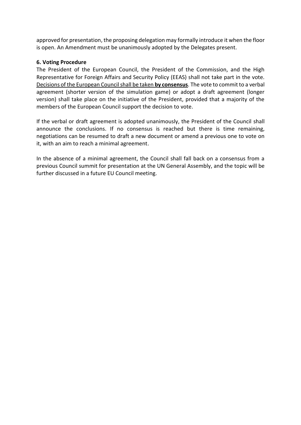approved for presentation, the proposing delegation may formally introduce it when the floor is open. An Amendment must be unanimously adopted by the Delegates present.

#### **6. Voting Procedure**

The President of the European Council, the President of the Commission, and the High Representative for Foreign Affairs and Security Policy (EEAS) shall not take part in the vote. Decisions of the European Council shall be taken **by consensus**. The vote to commit to a verbal agreement (shorter version of the simulation game) or adopt a draft agreement (longer version) shall take place on the initiative of the President, provided that a majority of the members of the European Council support the decision to vote.

If the verbal or draft agreement is adopted unanimously, the President of the Council shall announce the conclusions. If no consensus is reached but there is time remaining, negotiations can be resumed to draft a new document or amend a previous one to vote on it, with an aim to reach a minimal agreement.

In the absence of a minimal agreement, the Council shall fall back on a consensus from a previous Council summit for presentation at the UN General Assembly, and the topic will be further discussed in a future EU Council meeting.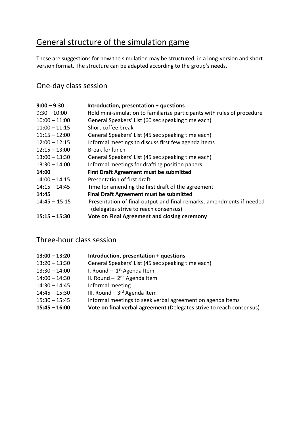# General structure of the simulation game

These are suggestions for how the simulation may be structured, in a long-version and shortversion format. The structure can be adapted according to the group's needs.

### One-day class session

| $9:00 - 9:30$   | Introduction, presentation + questions                                   |
|-----------------|--------------------------------------------------------------------------|
| $9:30 - 10:00$  | Hold mini-simulation to familiarize participants with rules of procedure |
| $10:00 - 11:00$ | General Speakers' List (60 sec speaking time each)                       |
| $11:00 - 11:15$ | Short coffee break                                                       |
| $11:15 - 12:00$ | General Speakers' List (45 sec speaking time each)                       |
| $12:00 - 12:15$ | Informal meetings to discuss first few agenda items                      |
| $12:15 - 13:00$ | Break for lunch                                                          |
| $13:00 - 13:30$ | General Speakers' List (45 sec speaking time each)                       |
| $13:30 - 14:00$ | Informal meetings for drafting position papers                           |
| 14:00           | <b>First Draft Agreement must be submitted</b>                           |
| $14:00 - 14:15$ | Presentation of first draft                                              |
| $14:15 - 14:45$ | Time for amending the first draft of the agreement                       |
| 14:45           | <b>Final Draft Agreement must be submitted</b>                           |
| $14:45 - 15:15$ | Presentation of final output and final remarks, amendments if needed     |
|                 | (delegates strive to reach consensus)                                    |
| $15:15 - 15:30$ | Vote on Final Agreement and closing ceremony                             |

### Three-hour class session

| $13:00 - 13:20$ | Introduction, presentation + questions                               |
|-----------------|----------------------------------------------------------------------|
| $13:20 - 13:30$ | General Speakers' List (45 sec speaking time each)                   |
| $13:30 - 14:00$ | I. Round $-1$ <sup>st</sup> Agenda Item                              |
| $14:00 - 14:30$ | II. Round - $2^{nd}$ Agenda Item                                     |
| $14:30 - 14:45$ | Informal meeting                                                     |
| $14:45 - 15:30$ | III. Round $-3^{rd}$ Agenda Item                                     |
| $15:30 - 15:45$ | Informal meetings to seek verbal agreement on agenda items           |
| $15:45 - 16:00$ | Vote on final verbal agreement (Delegates strive to reach consensus) |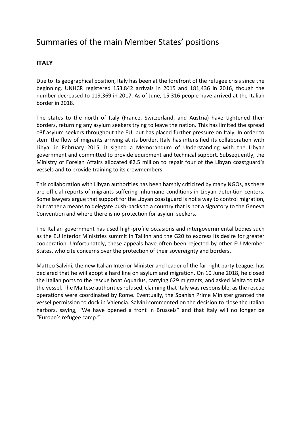### Summaries of the main Member States' positions

#### **ITALY**

Due to its geographical position, Italy has been at the forefront of the refugee crisis since the beginning. UNHCR registered 153,842 arrivals in 2015 and 181,436 in 2016, though the number decreased to 119,369 in 2017. As of June, 15,316 people have arrived at the Italian border in 2018.

The states to the north of Italy (France, Switzerland, and Austria) have tightened their borders, returning any asylum seekers trying to leave the nation. This has limited the spread o3f asylum seekers throughout the EU, but has placed further pressure on Italy. In order to stem the flow of migrants arriving at its border, Italy has intensified its collaboration with Libya; in February 2015, it signed a Memorandum of Understanding with the Libyan government and committed to provide equipment and technical support. Subsequently, the Ministry of Foreign Affairs allocated €2.5 million to repair four of the Libyan coastguard's vessels and to provide training to its crewmembers.

This collaboration with Libyan authorities has been harshly criticized by many NGOs, as there are official reports of migrants suffering inhumane conditions in Libyan detention centers. Some lawyers argue that support for the Libyan coastguard is not a way to control migration, but rather a means to delegate push-backs to a country that is not a signatory to the Geneva Convention and where there is no protection for asylum seekers.

The Italian government has used high-profile occasions and intergovernmental bodies such as the EU Interior Ministries summit in Tallinn and the G20 to express its desire for greater cooperation. Unfortunately, these appeals have often been rejected by other EU Member States, who cite concerns over the protection of their sovereignty and borders.

Matteo Salvini, the new Italian Interior Minister and leader of the far-right party League, has declared that he will adopt a hard line on asylum and migration. On 10 June 2018, he closed the Italian ports to the rescue boat Aquarius, carrying 629 migrants, and asked Malta to take the vessel. The Maltese authorities refused, claiming that Italy was responsible, as the rescue operations were coordinated by Rome. Eventually, the Spanish Prime Minister granted the vessel permission to dock in Valencia. Salvini commented on the decision to close the Italian harbors, saying, "We have opened a front in Brussels" and that Italy will no longer be "Europe's refugee camp."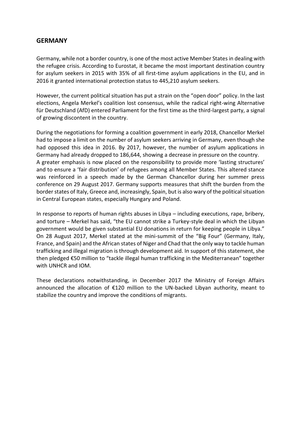#### **GERMANY**

Germany, while not a border country, is one of the most active Member States in dealing with the refugee crisis. According to Eurostat, it became the most important destination country for asylum seekers in 2015 with 35% of all first-time asylum applications in the EU, and in 2016 it granted international protection status to 445,210 asylum seekers.

However, the current political situation has put a strain on the "open door" policy. In the last elections, Angela Merkel's coalition lost consensus, while the radical right-wing Alternative für Deutschland (AfD) entered Parliament for the first time as the third-largest party, a signal of growing discontent in the country.

During the negotiations for forming a coalition government in early 2018, Chancellor Merkel had to impose a limit on the number of asylum seekers arriving in Germany, even though she had opposed this idea in 2016. By 2017, however, the number of asylum applications in Germany had already dropped to 186,644, showing a decrease in pressure on the country. A greater emphasis is now placed on the responsibility to provide more 'lasting structures' and to ensure a 'fair distribution' of refugees among all Member States. This altered stance was reinforced in a speech made by the German Chancellor during her summer press conference on 29 August 2017. Germany supports measures that shift the burden from the border states of Italy, Greece and, increasingly, Spain, but is also wary of the political situation in Central European states, especially Hungary and Poland.

In response to reports of human rights abuses in Libya – including executions, rape, bribery, and torture – Merkel has said, "the EU cannot strike a Turkey-style deal in which the Libyan government would be given substantial EU donations in return for keeping people in Libya." On 28 August 2017, Merkel stated at the mini-summit of the "Big Four" (Germany, Italy, France, and Spain) and the African states of Niger and Chad that the only way to tackle human trafficking and illegal migration is through development aid. In support of this statement, she then pledged €50 million to "tackle illegal human trafficking in the Mediterranean" together with UNHCR and IOM.

These declarations notwithstanding, in December 2017 the Ministry of Foreign Affairs announced the allocation of €120 million to the UN-backed Libyan authority, meant to stabilize the country and improve the conditions of migrants.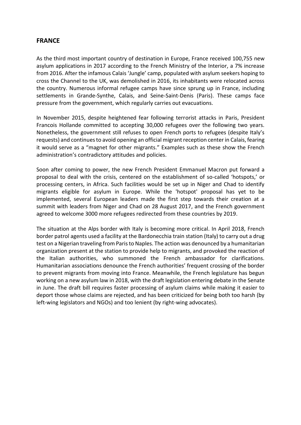#### **FRANCE**

As the third most important country of destination in Europe, France received 100,755 new asylum applications in 2017 according to the French Ministry of the Interior, a 7% increase from 2016. After the infamous Calais 'Jungle' camp, populated with asylum seekers hoping to cross the Channel to the UK, was demolished in 2016, its inhabitants were relocated across the country. Numerous informal refugee camps have since sprung up in France, including settlements in Grande-Synthe, Calais, and Seine-Saint-Denis (Paris). These camps face pressure from the government, which regularly carries out evacuations.

In November 2015, despite heightened fear following terrorist attacks in Paris, President Francois Hollande committed to accepting 30,000 refugees over the following two years. Nonetheless, the government still refuses to open French ports to refugees (despite Italy's requests) and continues to avoid opening an official migrant reception center in Calais, fearing it would serve as a "magnet for other migrants." Examples such as these show the French administration's contradictory attitudes and policies.

Soon after coming to power, the new French President Emmanuel Macron put forward a proposal to deal with the crisis, centered on the establishment of so-called 'hotspots,' or processing centers, in Africa. Such facilities would be set up in Niger and Chad to identify migrants eligible for asylum in Europe. While the 'hotspot' proposal has yet to be implemented, several European leaders made the first step towards their creation at a summit with leaders from Niger and Chad on 28 August 2017, and the French government agreed to welcome 3000 more refugees redirected from these countries by 2019.

The situation at the Alps border with Italy is becoming more critical. In April 2018, French border patrol agents used a facility at the Bardonecchia train station (Italy) to carry out a drug test on a Nigerian traveling from Paris to Naples. The action was denounced by a humanitarian organization present at the station to provide help to migrants, and provoked the reaction of the Italian authorities, who summoned the French ambassador for clarifications. Humanitarian associations denounce the French authorities' frequent crossing of the border to prevent migrants from moving into France. Meanwhile, the French legislature has begun working on a new asylum law in 2018, with the draft legislation entering debate in the Senate in June. The draft bill requires faster processing of asylum claims while making it easier to deport those whose claims are rejected, and has been criticized for being both too harsh (by left-wing legislators and NGOs) and too lenient (by right-wing advocates).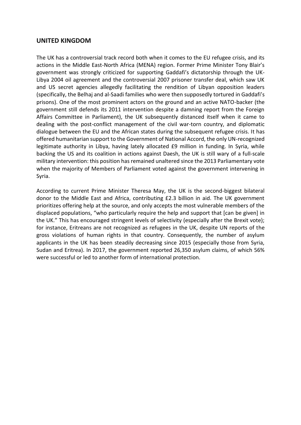#### **UNITED KINGDOM**

The UK has a controversial track record both when it comes to the EU refugee crisis, and its actions in the Middle East-North Africa (MENA) region. Former Prime Minister Tony Blair's government was strongly criticized for supporting Gaddafi's dictatorship through the UK-Libya 2004 oil agreement and the controversial 2007 prisoner transfer deal, which saw UK and US secret agencies allegedly facilitating the rendition of Libyan opposition leaders (specifically, the Belhaj and al-Saadi families who were then supposedly tortured in Gaddafi's prisons). One of the most prominent actors on the ground and an active NATO-backer (the government still defends its 2011 intervention despite a damning report from the Foreign Affairs Committee in Parliament), the UK subsequently distanced itself when it came to dealing with the post-conflict management of the civil war-torn country, and diplomatic dialogue between the EU and the African states during the subsequent refugee crisis. It has offered humanitarian support to the Government of National Accord, the only UN-recognized legitimate authority in Libya, having lately allocated £9 million in funding. In Syria, while backing the US and its coalition in actions against Daesh, the UK is still wary of a full-scale military intervention: this position has remained unaltered since the 2013 Parliamentary vote when the majority of Members of Parliament voted against the government intervening in Syria.

According to current Prime Minister Theresa May, the UK is the second-biggest bilateral donor to the Middle East and Africa, contributing £2.3 billion in aid. The UK government prioritizes offering help at the source, and only accepts the most vulnerable members of the displaced populations, "who particularly require the help and support that [can be given] in the UK." This has encouraged stringent levels of selectivity (especially after the Brexit vote); for instance, Eritreans are not recognized as refugees in the UK, despite UN reports of the gross violations of human rights in that country. Consequently, the number of asylum applicants in the UK has been steadily decreasing since 2015 (especially those from Syria, Sudan and Eritrea). In 2017, the government reported 26,350 asylum claims, of which 56% were successful or led to another form of international protection.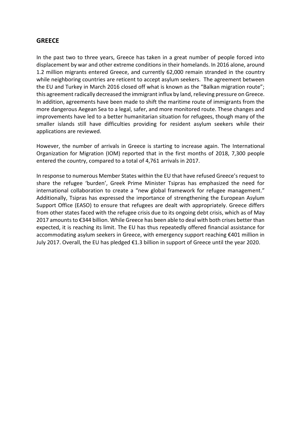#### **GREECE**

In the past two to three years, Greece has taken in a great number of people forced into displacement by war and other extreme conditions in their homelands. In 2016 alone, around 1.2 million migrants entered Greece, and currently 62,000 remain stranded in the country while neighboring countries are reticent to accept asylum seekers. The agreement between the EU and Turkey in March 2016 closed off what is known as the "Balkan migration route"; this agreement radically decreased the immigrant influx by land, relieving pressure on Greece. In addition, agreements have been made to shift the maritime route of immigrants from the more dangerous Aegean Sea to a legal, safer, and more monitored route. These changes and improvements have led to a better humanitarian situation for refugees, though many of the smaller islands still have difficulties providing for resident asylum seekers while their applications are reviewed.

However, the number of arrivals in Greece is starting to increase again. The [International](https://www.iom.int/news/mediterranean-migrant-arrivals-reach-18939-2018-deaths-reach-570)  [Organization for Migration \(](https://www.iom.int/news/mediterranean-migrant-arrivals-reach-18939-2018-deaths-reach-570)IOM) reported that in the first months of 2018, 7,300 people entered the country, compared to a total of 4,761 arrivals in 2017.

In response to numerous Member States within the EU that have refused Greece's request to share the refugee 'burden', Greek Prime Minister Tsipras has emphasized the need for international collaboration to create a "new global framework for refugee management." Additionally, Tsipras has expressed the importance of strengthening the European Asylum Support Office (EASO) to ensure that refugees are dealt with appropriately. Greece differs from other states faced with the refugee crisis due to its ongoing debt crisis, which as of May 2017 amounts to €344 billion. While Greece has been able to deal with both crises better than expected, it is reaching its limit. The EU has thus repeatedly offered financial assistance for accommodating asylum seekers in Greece, with emergency support reaching €401 million in July 2017. Overall, the EU has pledged €1.3 billion in support of Greece until the year 2020.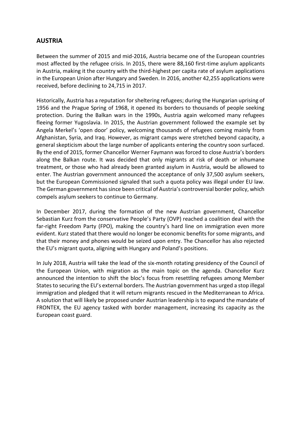#### **AUSTRIA**

Between the summer of 2015 and mid-2016, Austria became one of the European countries most affected by the refugee crisis. In 2015, there were 88,160 first-time asylum applicants in Austria, making it the country with the third-highest per capita rate of asylum applications in the European Union after Hungary and Sweden. In 2016, another 42,255 applications were received, before declining to 24,715 in 2017.

Historically, Austria has a reputation for sheltering refugees; during th[e Hungarian uprising of](https://www.theguardian.com/world/2006/oct/22/egypt.featuresreview)  [1956](https://www.theguardian.com/world/2006/oct/22/egypt.featuresreview) and the Prague Spring of 1968, it opened its borders to thousands of people seeking protection. During the Balkan wars in the 1990s, Austria again welcomed many refugees fleeing former Yugoslavia. In 2015, the Austrian government followed the example set by Angela Merkel's 'open door' policy, welcoming thousands of refugees coming mainly from Afghanistan, Syria, and Iraq. However, as migrant camps were stretched beyond capacity, a general skepticism about the large number of applicants entering the country soon surfaced. By the end of 2015, former Chancello[r Werner Faymann](https://www.theguardian.com/world/2016/may/09/werner-faymann-quits-as-austrian-chancellor) was forced to close Austria's borders along the Balkan route. It was decided that only migrants at risk of death or inhumane treatment, or those who had already been granted asylum in Austria, would be allowed to enter. The Austrian government announced the acceptance of only 37,500 asylum seekers, but the European Commissioned signaled that such a quota policy was illegal under EU law. The German government has since been critical of Austria's controversial border policy, which compels asylum seekers to continue to Germany.

In December 2017, during the formation of the new Austrian government, Chancellor Sebastian Kurz from the conservative People's Party (OVP) reached a coalition deal with the far-right Freedom Party (FPO), making the country's hard line on immigration even more evident. Kurz stated that there would no longer be economic benefits for some migrants, and that their money and phones would be seized upon entry. The Chancellor has also rejected the EU's migrant quota, aligning with Hungary and Poland's positions.

In July 2018, Austria will take the lead of the six-month rotating presidency of the Council of the European Union, with migration as the main topic on the agenda. Chancellor Kurz announced the intention to shift the bloc's focus from resettling refugees among Member States to securing the EU's external borders. The Austrian government has urged a stop illegal immigration and pledged that it will return migrants rescued in the Mediterranean to Africa. A solution that will likely be proposed under Austrian leadership is to expand the mandate of FRONTEX, the EU agency tasked with border management, increasing its capacity as the European coast guard.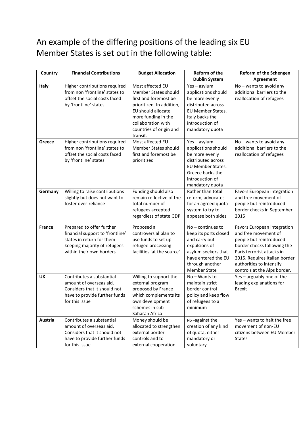# An example of the differing positions of the leading six EU Member States is set out in the following table:

| Country       | <b>Financial Contributions</b>                                                                                                                         | <b>Budget Allocation</b>                                                                                                                          | <b>Reform of the</b>                                                                                                                                                   | Reform of the Schengen<br>Agreement                                                                                                                                                                                                      |
|---------------|--------------------------------------------------------------------------------------------------------------------------------------------------------|---------------------------------------------------------------------------------------------------------------------------------------------------|------------------------------------------------------------------------------------------------------------------------------------------------------------------------|------------------------------------------------------------------------------------------------------------------------------------------------------------------------------------------------------------------------------------------|
| Italy         | Higher contributions required                                                                                                                          | Most affected EU                                                                                                                                  | <b>Dublin System</b><br>Yes-asylum                                                                                                                                     | No - wants to avoid any                                                                                                                                                                                                                  |
|               | from non 'frontline' states to<br>offset the social costs faced<br>by 'frontline' states                                                               | Member States should<br>first and foremost be<br>prioritized. In addition,<br>EU should allocate                                                  | applications should<br>be more evenly<br>distributed across<br>EU Member States.                                                                                       | additional barriers to the<br>reallocation of refugees                                                                                                                                                                                   |
|               |                                                                                                                                                        | more funding in the<br>collaboration with<br>countries of origin and<br>transit.                                                                  | Italy backs the<br>introduction of<br>mandatory quota                                                                                                                  |                                                                                                                                                                                                                                          |
| Greece        | Higher contributions required<br>from non 'frontline' states to<br>offset the social costs faced<br>by 'frontline' states                              | Most affected EU<br>Member States should<br>first and foremost be<br>prioritized                                                                  | Yes-asylum<br>applications should<br>be more evenly<br>distributed across<br>EU Member States.<br>Greece backs the<br>introduction of<br>mandatory quota               | No - wants to avoid any<br>additional barriers to the<br>reallocation of refugees                                                                                                                                                        |
| Germany       | Willing to raise contributions<br>slightly but does not want to<br>foster over-reliance                                                                | Funding should also<br>remain reflective of the<br>total number of<br>refugees accepted<br>regardless of state GDP                                | Rather than total<br>reform, advocates<br>for an agreed quota<br>system to try to<br>appease both sides                                                                | Favors European integration<br>and free movement of<br>people but reintroduced<br>border checks in September<br>2015                                                                                                                     |
| <b>France</b> | Prepared to offer further<br>financial support to 'frontline'<br>states in return for them<br>keeping majority of refugees<br>within their own borders | Proposed a<br>controversial plan to<br>use funds to set up<br>refugee processing<br>facilities 'at the source'                                    | $No$ – continues to<br>keep its ports closed<br>and carry out<br>expulsions of<br>asylum seekers that<br>have entered the EU<br>through another<br><b>Member State</b> | Favors European integration<br>and free movement of<br>people but reintroduced<br>border checks following the<br>Paris terrorist attacks in<br>2015. Requires Italian border<br>authorities to intensify<br>controls at the Alps border. |
| UK            | Contributes a substantial<br>amount of overseas aid.<br>Considers that it should not<br>have to provide further funds<br>for this issue                | Willing to support the<br>external program<br>proposed by France<br>which complements its<br>own development<br>schemes in sub-<br>Saharan Africa | No - Wants to<br>maintain strict<br>border control<br>policy and keep flow<br>of refugees to a<br>minimum                                                              | Yes - arguably one of the<br>leading explanations for<br><b>Brexit</b>                                                                                                                                                                   |
| Austria       | Contributes a substantial<br>amount of overseas aid.<br>Considers that it should not<br>have to provide further funds<br>for this issue                | Money should be<br>allocated to strengthen<br>external border<br>controls and to<br>external cooperation                                          | No-against the<br>creation of any kind<br>of quota, either<br>mandatory or<br>voluntary                                                                                | Yes - wants to halt the free<br>movement of non-EU<br>citizens between EU Member<br><b>States</b>                                                                                                                                        |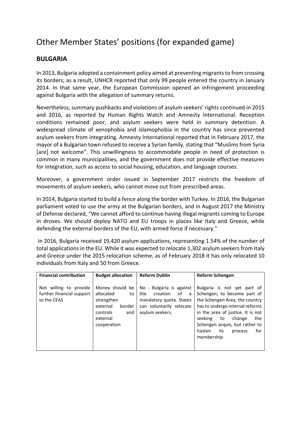# Other Member States' positions (for expanded game)

#### **BULGARIA**

In 2013, Bulgaria adopted a containment policy aimed at preventing migrants to from crossing its borders; as a result, UNHCR reported that only 99 people entered the country in January 2014. In that same year, the European Commission opened an infringement proceeding against Bulgaria with the allegation of summary returns.

Nevertheless, summary pushbacks and violations of asylum seekers' rights continued in 2015 and 2016, as reported by Human Rights Watch and Amnesty International. Reception conditions remained poor, and asylum seekers were held in summary detention. A widespread climate of xenophobia and islamophobia in the country has since prevented asylum seekers from integrating. Amnesty International reported that in February 2017, the mayor of a Bulgarian town refused to receive a Syrian family, stating that "Muslims from Syria [are] not welcome". This unwillingness to accommodate people in need of protection is common in many municipalities, and the government does not provide effective measures for integration, such as access to social housing, education, and language courses.

Moreover, a government order issued in September 2017 restricts the freedom of movements of asylum seekers, who cannot move out from prescribed areas.

In 2014, Bulgaria started to build a fence along the border with Turkey. In 2016, the Bulgarian parliament [voted to use the army at the Bulgarian borders,](http://www.balkaninsight.com/en/article/bulgarian-army-to-guard-the-border-against-migrants-02-18-2016) and in August 2017 the Ministry of Defense declared, "We cannot afford to continue having illegal migrants coming to Europe in droves. We should deploy NATO and EU troops in places like Italy and Greece, while defending the external borders of the EU, with armed force if necessary."

In 2016, Bulgaria received 19,420 asylum applications, representing 1.54% of the number of total applications in the EU. While it was expected to relocate 1,302 asylum seekers from Italy and Greece under the 2015 relocation scheme, as of February 2018 it has only relocated 10 individuals from Italy and 50 from Greece.

| <b>Financial contribution</b>                                      | <b>Budget allocation</b>                                                                                             | <b>Reform Dublin</b>                                                                                                             | <b>Reform Schengen</b>                                                                                                                                                                                                                                                                    |
|--------------------------------------------------------------------|----------------------------------------------------------------------------------------------------------------------|----------------------------------------------------------------------------------------------------------------------------------|-------------------------------------------------------------------------------------------------------------------------------------------------------------------------------------------------------------------------------------------------------------------------------------------|
| Not willing to provide<br>further financial support<br>to the CEAS | Money should be<br>allocated<br>to<br>strengthen<br>external<br>border<br>controls<br>and<br>external<br>cooperation | No - Bulgaria is against<br>the<br>creation<br>of<br>a<br>mandatory quota. States<br>can voluntarily relocate<br>asylum seekers. | Bulgaria is not yet part of<br>Schengen; to become part of<br>the Schengen Area, the country<br>has to undergo internal reforms<br>in the area of justice. It is not<br>seeking<br>the<br>to<br>change<br>Schengen acquis, but rather to<br>for<br>its<br>hasten<br>process<br>membership |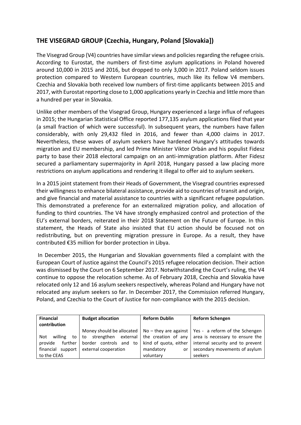#### **THE VISEGRAD GROUP (Czechia, Hungary, Poland [Slovakia])**

The Visegrad Group (V4) countries have similar views and policies regarding the refugee crisis. According to Eurostat, the numbers of first-time asylum applications in Poland hovered around 10,000 in 2015 and 2016, but dropped to only 3,000 in 2017. Poland seldom issues protection compared to Western European countries, much like its fellow V4 members. Czechia and Slovakia both received low numbers of first-time applicants between 2015 and 2017, with Eurostat reporting close to 1,000 applications yearly in Czechia and little more than a hundred per year in Slovakia.

Unlike other members of the Visegrad Group, Hungary experienced a large influx of refugees in 2015; the Hungarian Statistical Office reported 177,135 asylum applications filed that year (a small fraction of which were successful). In subsequent years, the numbers have fallen considerably, with only 29,432 filed in 2016, and fewer than 4,000 claims in 2017. Nevertheless, these waves of asylum seekers have hardened Hungary's attitudes towards migration and EU membership, and led Prime Minister Viktor Orbán and his populist Fidesz party to base their 2018 electoral campaign on an anti-immigration platform. After Fidesz secured a parliamentary supermajority in April 2018, Hungary passed a law placing more restrictions on asylum applications and rendering it illegal to offer aid to asylum seekers.

In a 2015 joint statement from their Heads of Government, the Visegrad countries expressed their willingness to enhance bilateral assistance, provide aid to countries of transit and origin, and give financial and material assistance to countries with a significant refugee population. This demonstrated a preference for an externalized migration policy, and allocation of funding to third countries. The V4 have strongly emphasized control and protection of the EU's external borders, reiterated in their 2018 Statement on the Future of Europe. In this statement, the Heads of State also insisted that EU action should be focused not on redistributing, but on preventing migration pressure in Europe. As a result, they have contributed €35 million for border protection in Libya.

In December 2015, the Hungarian and Slovakian governments filed a complaint with the European Court of Justice against the Council's 2015 refugee relocation decision. Their action was dismissed by the Court on 6 September 2017. Notwithstanding the Court's ruling, the V4 continue to oppose the relocation scheme. As of February 2018, Czechia and Slovakia have relocated only 12 and 16 asylum seekers respectively, whereas Poland and Hungary have not relocated any asylum seekers so far. In December 2017, the Commission referred Hungary, Poland, and Czechia to the Court of Justice for non-compliance with the 2015 decision.

| <b>Financial</b><br>contribution | <b>Budget allocation</b>                      | <b>Reform Dublin</b>  | <b>Reform Schengen</b>                                                               |
|----------------------------------|-----------------------------------------------|-----------------------|--------------------------------------------------------------------------------------|
|                                  |                                               |                       | Money should be allocated   $No$ – they are against   Yes - a reform of the Schengen |
| willing<br>Not<br>to             | strengthen external the creation of any<br>to |                       | area is necessary to ensure the                                                      |
| provide<br>further I             | border controls and to                        | kind of quota, either | internal security and to prevent                                                     |
| financial support                | external cooperation                          | mandatory<br>or       | secondary movements of asylum                                                        |
| to the CEAS                      |                                               | voluntary             | seekers                                                                              |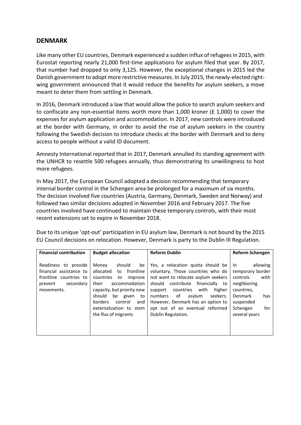#### **DENMARK**

Like many other EU countries, Denmark experienced a sudden influx of refugees in 2015, with Eurostat reporting nearly 21,000 first-time applications for asylum filed that year. By 2017, that number had dropped to only 3,125. However, the exceptional changes in 2015 led the Danish government to adopt more restrictive measures. In July 2015, the newly-elected rightwing government announced that it would reduce the benefits for asylum seekers, a move meant to deter them from settling in Denmark.

In 2016, Denmark introduced a law that would allow the police to search asylum seekers and to confiscate any non-essential items worth more than 1,000 kroner (£ 1,000) to cover the expenses for asylum application and accommodation. In 2017, new controls were introduced at the border with Germany, in order to avoid the rise of asylum seekers in the country following the Swedish decision to introduce checks at the border with Denmark and to deny access to people without a valid ID document.

Amnesty International reported that in 2017, Denmark annulled its standing agreement with the UNHCR to resettle 500 refugees annually, thus demonstrating its unwillingness to host more refugees.

In May 2017, the European Council adopted a decision recommending that temporary internal border control in the Schengen area be prolonged for a maximum of six months. The decision involved five countries (Austria, Germany, Denmark, Sweden and Norway) and followed two similar decisions adopted in November 2016 and February 2017. The five countries involved have continued to maintain these temporary controls, with their most recent extensions set to expire in November 2018.

Due to its unique 'opt-out' participation in EU asylum law, Denmark is not bound by the 2015 EU Council decisions on relocation. However, Denmark is party to the Dublin III Regulation.

| <b>Financial contribution</b>                                                                                   | <b>Budget allocation</b>                                                                                                                                                                                                                                       | <b>Reform Dublin</b>                                                                                                                                                                                                                                                                                                                | <b>Reform Schengen</b>                                                                                                                                         |
|-----------------------------------------------------------------------------------------------------------------|----------------------------------------------------------------------------------------------------------------------------------------------------------------------------------------------------------------------------------------------------------------|-------------------------------------------------------------------------------------------------------------------------------------------------------------------------------------------------------------------------------------------------------------------------------------------------------------------------------------|----------------------------------------------------------------------------------------------------------------------------------------------------------------|
| Readiness to provide<br>financial assistance to<br>frontline countries to<br>secondary<br>prevent<br>movements. | should<br>Money<br>be<br>frontline<br>allocated<br>to<br>countries<br>improve<br>to<br>accommodation<br>their<br>capacity, but priority now<br>be given<br>should<br>to<br><b>borders</b><br>control<br>and<br>externalization to stem<br>the flux of migrants | Yes, a relocation quota should be<br>voluntary. Those countries who do<br>not want to relocate asylum seekers<br>should<br>contribute<br>financially to<br>countries with<br>higher<br>support<br>numbers<br>of<br>asylum<br>seekers.<br>However, Denmark has an option to<br>opt out of an eventual reformed<br>Dublin Regulation. | allowing<br>In.<br>temporary border<br>with<br>controls<br>neighboring<br>countries,<br><b>Denmark</b><br>has<br>suspended<br>for<br>Schengen<br>several years |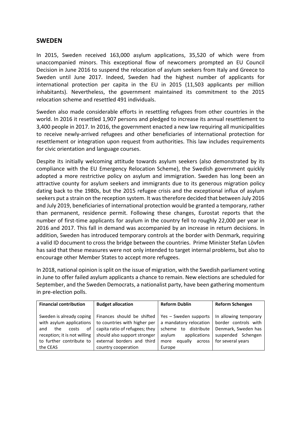#### **SWEDEN**

In 2015, Sweden received 163,000 asylum applications, 35,520 of which were from unaccompanied minors. This exceptional flow of newcomers prompted an EU Council Decision in June 2016 to suspend the relocation of asylum seekers from Italy and Greece to Sweden until June 2017. Indeed, Sweden had the highest number of applicants for international protection per capita in the EU in 2015 (11,503 applicants per million inhabitants). Nevertheless, the government maintained its commitment to the 2015 relocation scheme and resettled 491 individuals.

Sweden also made considerable efforts in resettling refugees from other countries in the world. In 2016 it resettled 1,907 persons and pledged to increase its annual resettlement to 3,400 people in 2017. In 2016, the government enacted a new law requiring all municipalities to receive newly-arrived refugees and other beneficiaries of international protection for resettlement or integration upon request from authorities. This law includes requirements for civic orientation and language courses.

Despite its initially welcoming attitude towards asylum seekers (also demonstrated by its compliance with the EU Emergency Relocation Scheme), the Swedish government quickly adopted a more restrictive policy on asylum and immigration. Sweden has long been an attractive county for asylum seekers and immigrants due to its generous migration policy dating back to the 1980s, but the 2015 refugee crisis and the exceptional influx of asylum seekers put a strain on the reception system. It was therefore decided that between July 2016 and July 2019, beneficiaries of international protection would be granted a temporary, rather than permanent, residence permit. Following these changes, Eurostat reports that the number of first-time applicants for asylum in the country fell to roughly 22,000 per year in 2016 and 2017. This fall in demand was accompanied by an increase in return decisions. In addition, Sweden has introduced temporary controls at the border with Denmark, requiring a valid ID document to cross the bridge between the countries. Prime Minister Stefan Lövfen has said that these measures were not only intended to target internal problems, but also to encourage other Member States to accept more refugees.

In 2018, national opinion is split on the issue of migration, with the Swedish parliament voting in June to offer failed asylum applicants a chance to remain. New elections are scheduled for September, and the Sweden Democrats, a nationalist party, have been gathering momentum in pre-election polls.

| <b>Financial contribution</b> | <b>Budget allocation</b>       | <b>Reform Dublin</b>       | <b>Reform Schengen</b> |
|-------------------------------|--------------------------------|----------------------------|------------------------|
|                               |                                |                            |                        |
| Sweden is already coping      | Finances should be shifted     | Yes - Sweden supports      | In allowing temporary  |
| with asylum applications      | to countries with higher per   | a mandatory relocation     | border controls with   |
| οf<br>the<br>costs<br>and     | capita ratio of refugees; they | distribute<br>scheme<br>to | Denmark, Sweden has    |
| reception; it is not willing  | should also support stronger   | asylum<br>applications     | suspended Schengen     |
| to further contribute to      | external borders and third     | equally<br>more<br>across  | for several years      |
| the CEAS                      | country cooperation            | Europe                     |                        |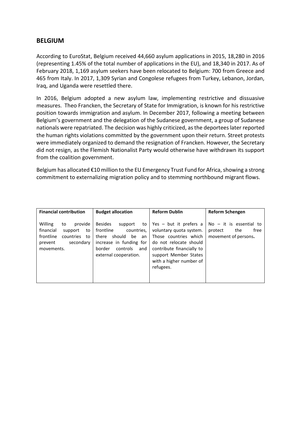#### **BELGIUM**

According to EuroStat, Belgium received 44,660 asylum applications in 2015, 18,280 in 2016 (representing 1.45% of the total number of applications in the EU), and 18,340 in 2017. As of February 2018, 1,169 asylum seekers have been relocated to Belgium: 700 from Greece and 465 from Italy. In 2017, 1,309 Syrian and Congolese refugees from Turkey, Lebanon, Jordan, Iraq, and Uganda were resettled there.

In 2016, Belgium adopted a new asylum law, implementing restrictive and dissuasive measures. Theo Francken, the Secretary of State for Immigration, is known for his restrictive position towards immigration and asylum. In December 2017, following a meeting between Belgium's government and the delegation of the Sudanese government, a group of Sudanese nationals were repatriated. The decision was highly criticized, as the deportees later reported the human rights violations committed by the government upon their return. Street protests were immediately organized to demand the resignation of Francken. However, the Secretary did not resign, as the Flemish Nationalist Party would otherwise have withdrawn its support from the coalition government.

Belgium has allocated €10 million to the EU Emergency Trust Fund for Africa, showing a strong commitment to externalizing migration policy and to stemming northbound migrant flows.

| <b>Financial contribution</b>                                                                                                | <b>Budget allocation</b>                                                                                                                                          | <b>Reform Dublin</b>                                                                                                                                                                                 | <b>Reform Schengen</b>                                                      |
|------------------------------------------------------------------------------------------------------------------------------|-------------------------------------------------------------------------------------------------------------------------------------------------------------------|------------------------------------------------------------------------------------------------------------------------------------------------------------------------------------------------------|-----------------------------------------------------------------------------|
| Willing<br>provide<br>to<br>financial<br>to<br>support<br>frontline<br>countries<br>to<br>secondary<br>prevent<br>movements. | <b>Besides</b><br>support<br>to<br>frontline<br>countries,<br>there should be an<br>increase in funding for<br>controls<br>border<br>and<br>external cooperation. | Yes $-$ but it prefers a<br>voluntary quota system.<br>Those countries which<br>do not relocate should<br>contribute financially to<br>support Member States<br>with a higher number of<br>refugees. | $No - it$ is essential to<br>free<br>protect<br>the<br>movement of persons. |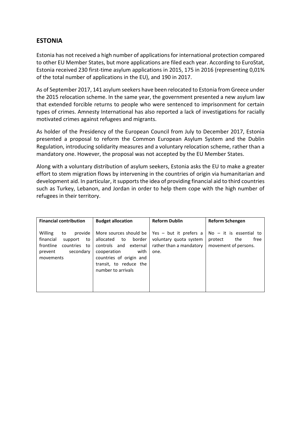#### **ESTONIA**

Estonia has not received a high number of applications for international protection compared to other EU Member States, but more applications are filed each year. According to EuroStat, Estonia received 230 first-time asylum applications in 2015, 175 in 2016 (representing 0,01% of the total number of applications in the EU), and 190 in 2017.

As of September 2017, 141 asylum seekers have been relocated to Estonia from Greece under the 2015 relocation scheme. In the same year, the government presented a new asylum law that extended forcible returns to people who were sentenced to imprisonment for certain types of crimes. Amnesty International has also reported a lack of investigations for racially motivated crimes against refugees and migrants.

As holder of the Presidency of the European Council from July to December 2017, Estonia presented a proposal to reform the Common European Asylum System and the Dublin Regulation, introducing solidarity measures and a voluntary relocation scheme, rather than a mandatory one. However, the proposal was not accepted by the EU Member States.

Along with a voluntary distribution of asylum seekers, Estonia asks the EU to make a greater effort to stem migration flows by intervening in the countries of origin via humanitarian and development aid. In particular, it supports the idea of providing financial aid to third countries such as Turkey, Lebanon, and Jordan in order to help them cope with the high number of refugees in their territory.

| <b>Financial contribution</b>                                                                                               | <b>Budget allocation</b>                                                                                                                                                      | <b>Reform Dublin</b>                                                                  | <b>Reform Schengen</b>                                                      |
|-----------------------------------------------------------------------------------------------------------------------------|-------------------------------------------------------------------------------------------------------------------------------------------------------------------------------|---------------------------------------------------------------------------------------|-----------------------------------------------------------------------------|
| Willing<br>provide<br>to<br>financial<br>support<br>to<br>frontline<br>countries<br>to<br>secondary<br>prevent<br>movements | More sources should be<br>to border l<br>allocated<br>controls and external<br>with<br>cooperation<br>countries of origin and<br>transit, to reduce the<br>number to arrivals | Yes $-$ but it prefers a<br>voluntary quota system<br>rather than a mandatory<br>one. | $No - it$ is essential to<br>free<br>protect<br>the<br>movement of persons. |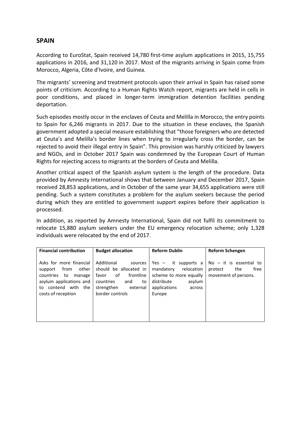#### **SPAIN**

According to EuroStat, Spain received 14,780 first-time asylum applications in 2015, 15,755 applications in 2016, and 31,120 in 2017. Most of the migrants arriving in Spain come from Morocco, Algeria, Côte d'Ivoire, and Guinea.

The migrants' screening and treatment protocols upon their arrival in Spain has raised some points of criticism. According to a Human Rights Watch report, migrants are held in cells in poor conditions, and placed in longer-term immigration detention facilities pending deportation.

Such episodes mostly occur in the enclaves of Ceuta and Melilla in Morocco, the entry points to Spain for 6,246 migrants in 2017. Due to the situation in these enclaves, the Spanish government adopted a special measure establishing that "those foreigners who are detected at Ceuta's and Melilla's border lines when trying to irregularly cross the border, can be rejected to avoid their illegal entry in Spain". This provision was harshly criticized by lawyers and NGOs, and in October 2017 Spain was condemned by the European Court of Human Rights for rejecting access to migrants at the borders of Ceuta and Melilla.

Another critical aspect of the Spanish asylum system is the length of the procedure. Data provided by Amnesty International shows that between January and December 2017, Spain received 28,853 applications, and in October of the same year 34,655 applications were still pending. Such a system constitutes a problem for the asylum seekers because the period during which they are entitled to government support expires before their application is processed.

In addition, as reported by Amnesty International, Spain did not fulfil its commitment to relocate 15,880 asylum seekers under the EU emergency relocation scheme; only 1,328 individuals were relocated by the end of 2017.

| <b>Financial contribution</b>                                                                                                                            | <b>Budget allocation</b>                                                                                                                           | <b>Reform Dublin</b>                                                                                                                   | <b>Reform Schengen</b>                                                      |
|----------------------------------------------------------------------------------------------------------------------------------------------------------|----------------------------------------------------------------------------------------------------------------------------------------------------|----------------------------------------------------------------------------------------------------------------------------------------|-----------------------------------------------------------------------------|
| Asks for more financial<br>other<br>from<br>support<br>countries to<br>manage<br>asylum applications and<br>to contend with<br>the<br>costs of reception | Additional<br>sources<br>should be allocated in<br>of<br>frontline<br>favor<br>countries<br>and<br>to<br>strengthen<br>external<br>border controls | Yes $-$ it supports a<br>relocation<br>mandatory<br>scheme to more equally<br>distribute<br>asylum<br>applications<br>across<br>Europe | $No - it$ is essential to<br>free<br>protect<br>the<br>movement of persons. |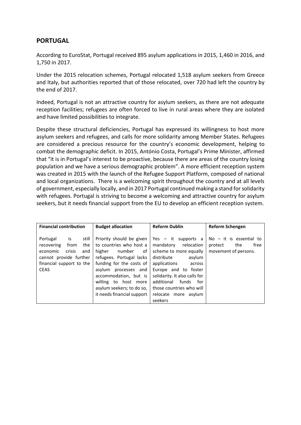#### **PORTUGAL**

According to EuroStat, Portugal received 895 asylum applications in 2015, 1,460 in 2016, and 1,750 in 2017.

Under the 2015 relocation schemes, Portugal relocated 1,518 asylum seekers from Greece and Italy, but authorities reported that of those relocated, over 720 had left the country by the end of 2017.

Indeed, Portugal is not an attractive country for asylum seekers, as there are not adequate reception facilities; refugees are often forced to live in rural areas where they are isolated and have limited possibilities to integrate.

Despite these structural deficiencies, Portugal has expressed its willingness to host more asylum seekers and refugees, and calls for more solidarity among Member States. Refugees are considered a precious resource for the country's economic development, helping to combat the demographic deficit. In 2015, António Costa, Portugal's Prime Minister, affirmed that "it is in Portugal's interest to be proactive, because there are areas of the country losing population and we have a serious demographic problem". A more efficient reception system was created in 2015 with the launch of the Refugee Support Platform, composed of national and local organizations. There is a welcoming spirit throughout the country and at all levels of government, especially locally, and in 2017 Portugal continued making a stand for solidarity with refugees. Portugal is striving to become a welcoming and attractive country for asylum seekers, but it needs financial support from the EU to develop an efficient reception system.

| <b>Financial contribution</b>                                                                                                                          | <b>Budget allocation</b>                                                                                                                                                                                                                                                  | <b>Reform Dublin</b>                                                                                                                                                                                                                                                  | <b>Reform Schengen</b>                                                      |
|--------------------------------------------------------------------------------------------------------------------------------------------------------|---------------------------------------------------------------------------------------------------------------------------------------------------------------------------------------------------------------------------------------------------------------------------|-----------------------------------------------------------------------------------------------------------------------------------------------------------------------------------------------------------------------------------------------------------------------|-----------------------------------------------------------------------------|
| is<br>still<br>Portugal<br>recovering<br>from<br>the<br>crisis<br>economic<br>and<br>cannot provide further<br>financial support to the<br><b>CEAS</b> | Priority should be given<br>to countries who host a<br>higher<br>number of<br>refugees. Portugal lacks<br>funding for the costs of<br>asylum<br>processes and<br>accommodation, but is<br>willing to host more<br>asylum seekers; to do so,<br>it needs financial support | Yes - it supports a<br>relocation<br>mandatory<br>scheme to more equally<br>distribute<br>asylum<br>applications<br>across<br>Europe and to foster<br>solidarity. It also calls for<br>additional<br>funds<br>for<br>those countries who will<br>relocate more asylum | $No - it$ is essential to<br>free<br>the<br>protect<br>movement of persons. |
|                                                                                                                                                        |                                                                                                                                                                                                                                                                           | seekers                                                                                                                                                                                                                                                               |                                                                             |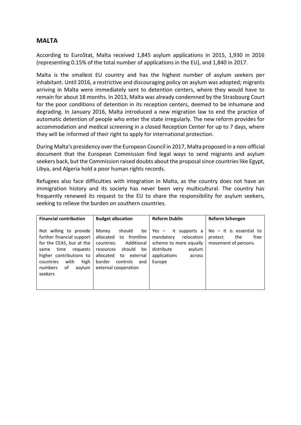#### **MALTA**

According to EuroStat, Malta received 1,845 asylum applications in 2015, 1,930 in 2016 (representing 0.15% of the total number of applications in the EU), and 1,840 in 2017.

Malta is the smallest EU country and has the highest number of asylum seekers per inhabitant. Until 2016, a restrictive and discouraging policy on asylum was adopted; migrants arriving in Malta were immediately sent to detention centers, where they would have to remain for about 18 months. In 2013, Malta was already condemned by the Strasbourg Court for the poor conditions of detention in its reception centers, deemed to be inhumane and degrading. In January 2016, Malta introduced a new migration law to end the practice of automatic detention of people who enter the state irregularly. The new reform provides for accommodation and medical screening in a closed Reception Center for up to 7 days, where they will be informed of their right to apply for international protection.

During Malta's presidency over the European Council in 2017, Malta proposed in a non-official document that the European Commission find legal ways to send migrants and asylum seekers back, but the Commission raised doubts about the proposal since countries like Egypt, Libya, and Algeria hold a poor human rights records.

Refugees also face difficulties with integration in Malta, as the country does not have an immigration history and its society has never been very multicultural. The country has frequently renewed its request to the EU to share the responsibility for asylum seekers, seeking to relieve the burden on southern countries.

| <b>Financial contribution</b>                                                                                                                                                                             | <b>Budget allocation</b>                                                                                                                                                                     | <b>Reform Dublin</b>                                                                                                                    | <b>Reform Schengen</b>                                                      |
|-----------------------------------------------------------------------------------------------------------------------------------------------------------------------------------------------------------|----------------------------------------------------------------------------------------------------------------------------------------------------------------------------------------------|-----------------------------------------------------------------------------------------------------------------------------------------|-----------------------------------------------------------------------------|
| Not willing to provide<br>further financial support<br>for the CEAS, but at the<br>time<br>requests<br>same<br>higher contributions to<br>high<br>countries<br>with<br>numbers<br>asylum<br>of<br>seekers | should<br>Money<br>be<br>allocated<br>to frontline<br>Additional<br>countries.<br>should<br>be<br>resources<br>allocated<br>to external<br>border<br>controls<br>and<br>external cooperation | it supports a<br>Yes —<br>relocation<br>mandatory<br>scheme to more equally<br>distribute<br>asylum<br>applications<br>across<br>Europe | $No - it$ is essential to<br>free<br>protect<br>the<br>movement of persons. |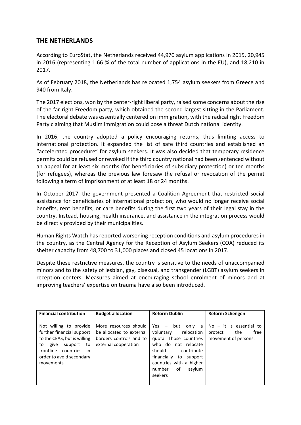#### **THE NETHERLANDS**

According to EuroStat, the Netherlands received 44,970 asylum applications in 2015, 20,945 in 2016 (representing 1,66 % of the total number of applications in the EU), and 18,210 in 2017.

As of February 2018, the Netherlands has relocated 1,754 asylum seekers from Greece and 940 from Italy.

The 2017 elections, won by the center-right liberal party, raised some concerns about the rise of the far-right Freedom party, which obtained the second largest sitting in the Parliament. The electoral debate was essentially centered on immigration, with the radical right Freedom Party claiming that Muslim immigration could pose a threat Dutch national identity.

In 2016, the country adopted a policy encouraging returns, thus limiting access to international protection. It expanded the list of safe third countries and established an "accelerated procedure" for asylum seekers. It was also decided that temporary residence permits could be refused or revoked if the third country national had been sentenced without an appeal for at least six months (for beneficiaries of subsidiary protection) or ten months (for refugees), whereas the previous law foresaw the refusal or revocation of the permit following a term of imprisonment of at least 18 or 24 months.

In October 2017, the government presented a Coalition Agreement that restricted social assistance for beneficiaries of international protection, who would no longer receive social benefits, rent benefits, or care benefits during the first two years of their legal stay in the country. Instead, housing, health insurance, and assistance in the integration process would be directly provided by their municipalities.

Human Rights Watch has reported worsening reception conditions and asylum procedures in the country, as the Central Agency for the Reception of Asylum Seekers (COA) reduced its shelter capacity from 48,700 to 31,000 places and closed 45 locations in 2017.

Despite these restrictive measures, the country is sensitive to the needs of unaccompanied minors and to the safety of lesbian, gay, bisexual, and transgender (LGBT) asylum seekers in reception centers. Measures aimed at encouraging school enrolment of minors and at improving teachers' expertise on trauma have also been introduced.

| <b>Financial contribution</b>                                                                                                                                                        | <b>Budget allocation</b>                                                                             | <b>Reform Dublin</b>                                                                                                                                                                                                   | Reform Schengen                                                             |
|--------------------------------------------------------------------------------------------------------------------------------------------------------------------------------------|------------------------------------------------------------------------------------------------------|------------------------------------------------------------------------------------------------------------------------------------------------------------------------------------------------------------------------|-----------------------------------------------------------------------------|
| Not willing to provide<br>further financial support<br>to the CEAS, but is willing<br>to give<br>support<br>to<br>frontline<br>countries in<br>order to avoid secondary<br>movements | More resources should<br>be allocated to external<br>borders controls and to<br>external cooperation | Yes $-$ but only a<br>relocation<br>voluntary<br>quota. Those countries<br>who do not relocate<br>should<br>contribute<br>financially<br>to<br>support<br>countries with a higher<br>of<br>asylum<br>number<br>seekers | $No - it$ is essential to<br>the<br>free<br>protect<br>movement of persons. |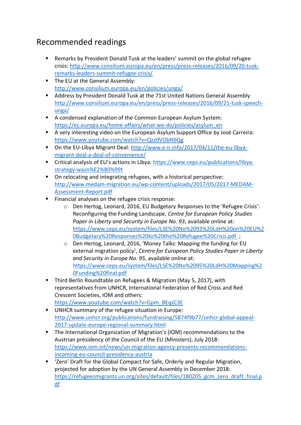# Recommended readings

- Remarks by President Donald Tusk at the leaders' summit on the global refugee crisis: [http://www.consilium.europa.eu/en/press/press-releases/2016/09/20-tusk](http://www.consilium.europa.eu/en/press/press-releases/2016/09/20-tusk-remarks-leaders-summit-refugee-crisis/)[remarks-leaders-summit-refugee-crisis/](http://www.consilium.europa.eu/en/press/press-releases/2016/09/20-tusk-remarks-leaders-summit-refugee-crisis/)
- The EU at the General Assembly: <http://www.consilium.europa.eu/en/policies/unga/>
- Address by President Donald Tusk at the 71st United Nations General Assembly [http://www.consilium.europa.eu/en/press/press-releases/2016/09/21-tusk-speech](http://www.consilium.europa.eu/en/press/press-releases/2016/09/21-tusk-speech-unga/)[unga/](http://www.consilium.europa.eu/en/press/press-releases/2016/09/21-tusk-speech-unga/)
- A condensed explanation of the Common European Asylum System: [https://ec.europa.eu/home-affairs/what-we-do/policies/asylum\\_en](https://ec.europa.eu/home-affairs/what-we-do/policies/asylum_en)
- A very interesting video on the European Asylum Support Office by José Carreira: <https://www.youtube.com/watch?v=Qzz0VObN9Qg>
- On the EU-Libya Migrant Deal[: http://www.e-ir.info/2017/04/11/the-eu-libya](http://www.e-ir.info/2017/04/11/the-eu-libya-migrant-deal-a-deal-of-convenience/)[migrant-deal-a-deal-of-convenience/](http://www.e-ir.info/2017/04/11/the-eu-libya-migrant-deal-a-deal-of-convenience/)
- Critical analysis of EU's actions in Libya: [https://www.ceps.eu/publications/libya](https://www.ceps.eu/publications/libya-strategy-wasn%E2%80%99t)[strategy-wasn%E2%80%99t](https://www.ceps.eu/publications/libya-strategy-wasn%E2%80%99t)
- On relocating and integrating refugees, with a historical perspective: [http://www.medam-migration.eu/wp-content/uploads/2017/05/2017-MEDAM-](http://www.medam-migration.eu/wp-content/uploads/2017/05/2017-MEDAM-Assessment-Report.pdf)[Assessment-Report.pdf](http://www.medam-migration.eu/wp-content/uploads/2017/05/2017-MEDAM-Assessment-Report.pdf)
- Financial analyses on the refugee crisis response:
	- o Den Hertog, Leonard, 2016, EU Budgetary Responses to the 'Refugee Crisis': Reconfiguring the Funding Landscape, *Centre for European Policy Studies Paper in Liberty and Security in Europe No. 93*, available online at: [https://www.ceps.eu/system/files/LSE%20No%2093%20LdH%20on%20EU%2](https://www.ceps.eu/system/files/LSE%20No%2093%20LdH%20on%20EU%20Budgetary%20Responses%20to%20the%20Refugee%20Crisis.pdf) [0Budgetary%20Responses%20to%20the%20Refugee%20Crisis.pdf](https://www.ceps.eu/system/files/LSE%20No%2093%20LdH%20on%20EU%20Budgetary%20Responses%20to%20the%20Refugee%20Crisis.pdf) ;
	- o Den Hertog, Leonard, 2016, 'Money Talks: Mapping the funding for EU external migration policy', *Centre for European Policy Studies Paper in Liberty and Security in Europe No. 95*, available online at: [https://www.ceps.eu/system/files/LSE%20No%2095%20LdH%20Mapping%2](https://www.ceps.eu/system/files/LSE%20No%2095%20LdH%20Mapping%20Funding%20final.pdf) [0Funding%20final.pdf](https://www.ceps.eu/system/files/LSE%20No%2095%20LdH%20Mapping%20Funding%20final.pdf)
- Third Berlin Roundtable on Refugees & Migration (May 5, 2017), with representatives from UNHCR, International Federation of Red Cross and Red Crescent Societies, IOM and others:
- [https://www.youtube.com/watch?v=Gpm\\_BEqzC3E](https://www.youtube.com/watch?v=Gpm_BEqzC3E) ■ UNHCR summary of the refugee situation in Europe: [http://www.unhcr.org/publications/fundraising/5874f9b77/unhcr-global-appeal-](http://www.unhcr.org/publications/fundraising/5874f9b77/unhcr-global-appeal-2017-update-europe-regional-summary.html)
- [2017-update-europe-regional-summary.html](http://www.unhcr.org/publications/fundraising/5874f9b77/unhcr-global-appeal-2017-update-europe-regional-summary.html) ■ The International Organization of Migration's (IOM) recommendations to the Austrian presidency of the Council of the EU (Ministers), July 2018: [https://www.iom.int/news/un-migration-agency-presents-recommendations](https://www.iom.int/news/un-migration-agency-presents-recommendations-incoming-eu-council-presidency-austria)[incoming-eu-council-presidency-austria](https://www.iom.int/news/un-migration-agency-presents-recommendations-incoming-eu-council-presidency-austria)
- 'Zero' Draft for the Global Compact for Safe, Orderly and Regular Migration, projected for adoption by the UN General Assembly in December 2018: [https://refugeesmigrants.un.org/sites/default/files/180205\\_gcm\\_zero\\_draft\\_final.p](https://refugeesmigrants.un.org/sites/default/files/180205_gcm_zero_draft_final.pdf) [df](https://refugeesmigrants.un.org/sites/default/files/180205_gcm_zero_draft_final.pdf)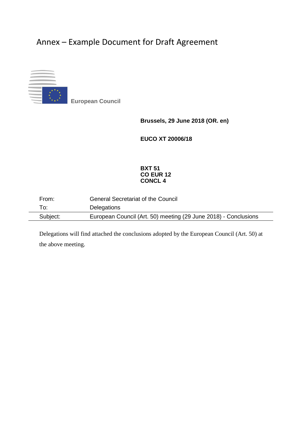# Annex – Example Document for Draft Agreement



▪ **European Council**

**Brussels, 29 June 2018 (OR. en)**

**EUCO XT 20006/18**

#### **BXT 51 CO EUR 12 CONCL 4**

| From:    | <b>General Secretariat of the Council</b>                       |
|----------|-----------------------------------------------------------------|
| To:      | <b>Delegations</b>                                              |
| Subject: | European Council (Art. 50) meeting (29 June 2018) - Conclusions |

Delegations will find attached the conclusions adopted by the European Council (Art. 50) at the above meeting.